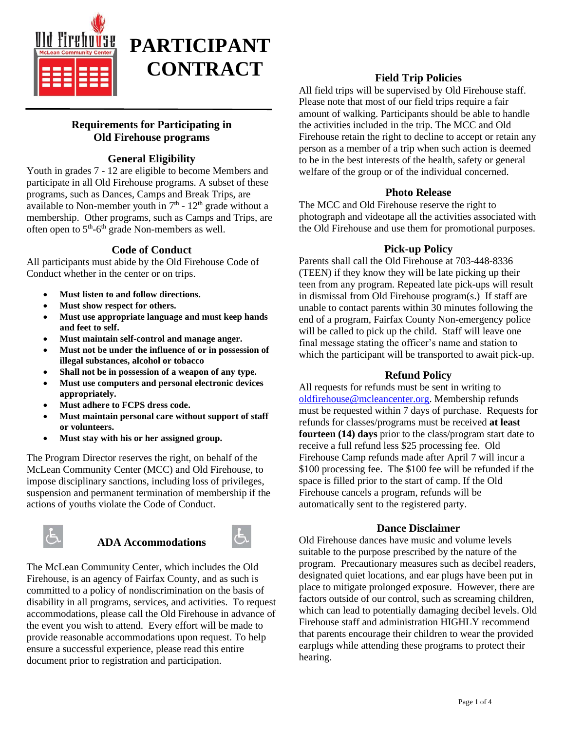



## **Requirements for Participating in Old Firehouse programs**

# **General Eligibility**

Youth in grades 7 - 12 are eligible to become Members and participate in all Old Firehouse programs. A subset of these programs, such as Dances, Camps and Break Trips, are available to Non-member youth in  $7<sup>th</sup>$  -  $12<sup>th</sup>$  grade without a membership. Other programs, such as Camps and Trips, are often open to  $5<sup>th</sup>$ -6<sup>th</sup> grade Non-members as well.

# **Code of Conduct**

All participants must abide by the Old Firehouse Code of Conduct whether in the center or on trips.

- **Must listen to and follow directions.**
- **Must show respect for others.**
- **Must use appropriate language and must keep hands and feet to self.**
- **Must maintain self-control and manage anger.**
- **Must not be under the influence of or in possession of illegal substances, alcohol or tobacco**
- **Shall not be in possession of a weapon of any type.**
- **Must use computers and personal electronic devices appropriately.**
- **Must adhere to FCPS dress code.**
- **Must maintain personal care without support of staff or volunteers.**
- **Must stay with his or her assigned group.**

The Program Director reserves the right, on behalf of the McLean Community Center (MCC) and Old Firehouse, to impose disciplinary sanctions, including loss of privileges, suspension and permanent termination of membership if the actions of youths violate the Code of Conduct.



# **ADA Accommodations**



The McLean Community Center, which includes the Old Firehouse, is an agency of Fairfax County, and as such is committed to a policy of nondiscrimination on the basis of disability in all programs, services, and activities. To request accommodations, please call the Old Firehouse in advance of the event you wish to attend. Every effort will be made to provide reasonable accommodations upon request. To help ensure a successful experience, please read this entire document prior to registration and participation.

## **Field Trip Policies**

All field trips will be supervised by Old Firehouse staff. Please note that most of our field trips require a fair amount of walking. Participants should be able to handle the activities included in the trip. The MCC and Old Firehouse retain the right to decline to accept or retain any person as a member of a trip when such action is deemed to be in the best interests of the health, safety or general welfare of the group or of the individual concerned.

### **Photo Release**

The MCC and Old Firehouse reserve the right to photograph and videotape all the activities associated with the Old Firehouse and use them for promotional purposes.

#### **Pick-up Policy**

Parents shall call the Old Firehouse at 703-448-8336 (TEEN) if they know they will be late picking up their teen from any program. Repeated late pick-ups will result in dismissal from Old Firehouse program(s.) If staff are unable to contact parents within 30 minutes following the end of a program, Fairfax County Non-emergency police will be called to pick up the child. Staff will leave one final message stating the officer's name and station to which the participant will be transported to await pick-up.

### **Refund Policy**

All requests for refunds must be sent in writing to [oldfirehouse@mcleancenter.org.](mailto:oldfirehouse@mcleancenter.org) Membership refunds must be requested within 7 days of purchase. Requests for refunds for classes/programs must be received **at least fourteen (14) days** prior to the class/program start date to receive a full refund less \$25 processing fee. Old Firehouse Camp refunds made after April 7 will incur a \$100 processing fee. The \$100 fee will be refunded if the space is filled prior to the start of camp. If the Old Firehouse cancels a program, refunds will be automatically sent to the registered party.

#### **Dance Disclaimer**

Old Firehouse dances have music and volume levels suitable to the purpose prescribed by the nature of the program. Precautionary measures such as decibel readers, designated quiet locations, and ear plugs have been put in place to mitigate prolonged exposure. However, there are factors outside of our control, such as screaming children, which can lead to potentially damaging decibel levels. Old Firehouse staff and administration HIGHLY recommend that parents encourage their children to wear the provided earplugs while attending these programs to protect their hearing.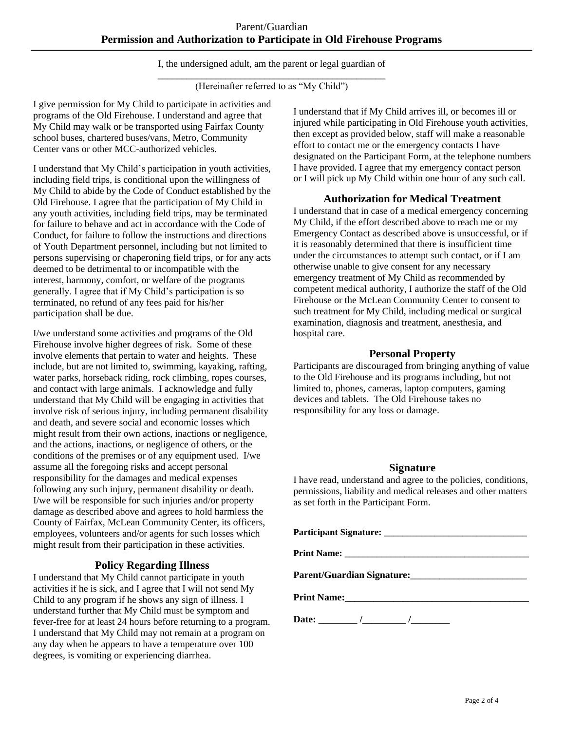I, the undersigned adult, am the parent or legal guardian of

\_\_\_\_\_\_\_\_\_\_\_\_\_\_\_\_\_\_\_\_\_\_\_\_\_\_\_\_\_\_\_\_\_\_\_\_\_\_\_\_\_\_\_\_\_\_\_ (Hereinafter referred to as "My Child")

I give permission for My Child to participate in activities and programs of the Old Firehouse. I understand and agree that My Child may walk or be transported using Fairfax County school buses, chartered buses/vans, Metro, Community Center vans or other MCC-authorized vehicles.

I understand that My Child's participation in youth activities, including field trips, is conditional upon the willingness of My Child to abide by the Code of Conduct established by the Old Firehouse. I agree that the participation of My Child in any youth activities, including field trips, may be terminated for failure to behave and act in accordance with the Code of Conduct, for failure to follow the instructions and directions of Youth Department personnel, including but not limited to persons supervising or chaperoning field trips, or for any acts deemed to be detrimental to or incompatible with the interest, harmony, comfort, or welfare of the programs generally. I agree that if My Child's participation is so terminated, no refund of any fees paid for his/her participation shall be due.

I/we understand some activities and programs of the Old Firehouse involve higher degrees of risk. Some of these involve elements that pertain to water and heights. These include, but are not limited to, swimming, kayaking, rafting, water parks, horseback riding, rock climbing, ropes courses, and contact with large animals. I acknowledge and fully understand that My Child will be engaging in activities that involve risk of serious injury, including permanent disability and death, and severe social and economic losses which might result from their own actions, inactions or negligence, and the actions, inactions, or negligence of others, or the conditions of the premises or of any equipment used. I/we assume all the foregoing risks and accept personal responsibility for the damages and medical expenses following any such injury, permanent disability or death. I/we will be responsible for such injuries and/or property damage as described above and agrees to hold harmless the County of Fairfax, McLean Community Center, its officers, employees, volunteers and/or agents for such losses which might result from their participation in these activities.

### **Policy Regarding Illness**

I understand that My Child cannot participate in youth activities if he is sick, and I agree that I will not send My Child to any program if he shows any sign of illness. I understand further that My Child must be symptom and fever-free for at least 24 hours before returning to a program. I understand that My Child may not remain at a program on any day when he appears to have a temperature over 100 degrees, is vomiting or experiencing diarrhea.

I understand that if My Child arrives ill, or becomes ill or injured while participating in Old Firehouse youth activities, then except as provided below, staff will make a reasonable effort to contact me or the emergency contacts I have designated on the Participant Form, at the telephone numbers I have provided. I agree that my emergency contact person or I will pick up My Child within one hour of any such call.

### **Authorization for Medical Treatment**

I understand that in case of a medical emergency concerning My Child, if the effort described above to reach me or my Emergency Contact as described above is unsuccessful, or if it is reasonably determined that there is insufficient time under the circumstances to attempt such contact, or if I am otherwise unable to give consent for any necessary emergency treatment of My Child as recommended by competent medical authority, I authorize the staff of the Old Firehouse or the McLean Community Center to consent to such treatment for My Child, including medical or surgical examination, diagnosis and treatment, anesthesia, and hospital care.

#### **Personal Property**

Participants are discouraged from bringing anything of value to the Old Firehouse and its programs including, but not limited to, phones, cameras, laptop computers, gaming devices and tablets. The Old Firehouse takes no responsibility for any loss or damage.

#### **Signature**

I have read, understand and agree to the policies, conditions, permissions, liability and medical releases and other matters as set forth in the Participant Form.

| Parent/Guardian Signature: |  |  |  |  |  |
|----------------------------|--|--|--|--|--|
| Print Name:                |  |  |  |  |  |
| Date: $\frac{\ }{\ }$      |  |  |  |  |  |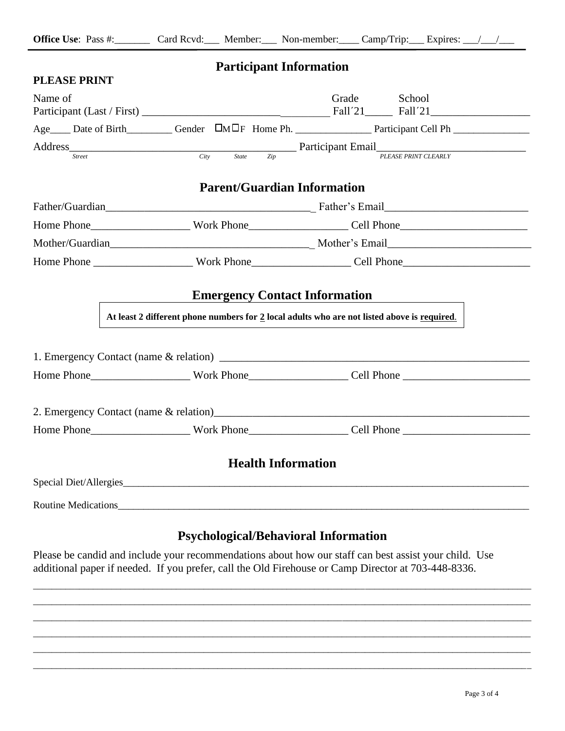|                     | <b>Participant Information</b>                                                              |                                                                                                                |
|---------------------|---------------------------------------------------------------------------------------------|----------------------------------------------------------------------------------------------------------------|
| <b>PLEASE PRINT</b> |                                                                                             |                                                                                                                |
| Name of             |                                                                                             | Grade School                                                                                                   |
|                     |                                                                                             |                                                                                                                |
|                     |                                                                                             |                                                                                                                |
|                     |                                                                                             | Address Street City State Zip Participant Email PLEASE PRINT CLEARLY                                           |
|                     |                                                                                             |                                                                                                                |
|                     | <b>Parent/Guardian Information</b>                                                          |                                                                                                                |
|                     |                                                                                             |                                                                                                                |
|                     |                                                                                             |                                                                                                                |
|                     |                                                                                             |                                                                                                                |
|                     |                                                                                             | Home Phone _________________________Work Phone____________________Cell Phone__________________________________ |
|                     | At least 2 different phone numbers for 2 local adults who are not listed above is required. | <b>Emergency Contact Information</b>                                                                           |
|                     |                                                                                             |                                                                                                                |
|                     |                                                                                             | Home Phone________________________Work Phone____________________Cell Phone ___________________________________ |
|                     |                                                                                             |                                                                                                                |
|                     |                                                                                             | Home Phone________________________Work Phone____________________Cell Phone ___________________________________ |
|                     | <b>Health Information</b>                                                                   |                                                                                                                |
|                     |                                                                                             |                                                                                                                |
|                     |                                                                                             |                                                                                                                |
|                     | <b>Psychological/Behavioral Information</b>                                                 |                                                                                                                |

Please be candid and include your recommendations about how our staff can best assist your child. Use additional paper if needed. If you prefer, call the Old Firehouse or Camp Director at 703-448-8336.

\_\_\_\_\_\_\_\_\_\_\_\_\_\_\_\_\_\_\_\_\_\_\_\_\_\_\_\_\_\_\_\_\_\_\_\_\_\_\_\_\_\_\_\_\_\_\_\_\_\_\_\_\_\_\_\_\_\_\_\_\_\_\_\_\_\_\_\_\_\_\_\_\_\_\_\_\_\_\_\_\_\_\_\_\_\_\_\_\_\_\_\_\_\_\_\_\_\_\_\_\_\_\_\_\_\_\_\_ \_\_\_\_\_\_\_\_\_\_\_\_\_\_\_\_\_\_\_\_\_\_\_\_\_\_\_\_\_\_\_\_\_\_\_\_\_\_\_\_\_\_\_\_\_\_\_\_\_\_\_\_\_\_\_\_\_\_\_\_\_\_\_\_\_\_\_\_\_\_\_\_\_\_\_\_\_\_\_\_\_\_\_\_\_\_\_\_\_\_\_\_\_\_\_\_\_\_\_\_\_\_\_\_\_\_\_\_ \_\_\_\_\_\_\_\_\_\_\_\_\_\_\_\_\_\_\_\_\_\_\_\_\_\_\_\_\_\_\_\_\_\_\_\_\_\_\_\_\_\_\_\_\_\_\_\_\_\_\_\_\_\_\_\_\_\_\_\_\_\_\_\_\_\_\_\_\_\_\_\_\_\_\_\_\_\_\_\_\_\_\_\_\_\_\_\_\_\_\_\_\_\_\_\_\_\_\_\_\_\_\_\_\_\_\_\_ \_\_\_\_\_\_\_\_\_\_\_\_\_\_\_\_\_\_\_\_\_\_\_\_\_\_\_\_\_\_\_\_\_\_\_\_\_\_\_\_\_\_\_\_\_\_\_\_\_\_\_\_\_\_\_\_\_\_\_\_\_\_\_\_\_\_\_\_\_\_\_\_\_\_\_\_\_\_\_\_\_\_\_\_\_\_\_\_\_\_\_\_\_\_\_\_\_\_\_\_\_\_\_\_\_\_\_\_ \_\_\_\_\_\_\_\_\_\_\_\_\_\_\_\_\_\_\_\_\_\_\_\_\_\_\_\_\_\_\_\_\_\_\_\_\_\_\_\_\_\_\_\_\_\_\_\_\_\_\_\_\_\_\_\_\_\_\_\_\_\_\_\_\_\_\_\_\_\_\_\_\_\_\_\_\_\_\_\_\_\_\_\_\_\_\_\_\_\_\_\_\_\_\_\_\_\_\_\_\_\_\_\_\_\_\_\_ \_\_\_\_\_\_\_\_\_\_\_\_\_\_\_\_\_\_\_\_\_\_\_\_\_\_\_\_\_\_\_\_\_\_\_\_\_\_\_\_\_\_\_\_\_\_\_\_\_\_\_\_\_\_\_\_\_\_\_\_\_\_\_\_\_\_\_\_\_\_\_\_\_\_\_\_\_\_\_\_\_\_\_\_\_\_\_\_\_\_\_\_\_\_\_\_\_\_\_\_\_\_\_\_\_\_\_\_